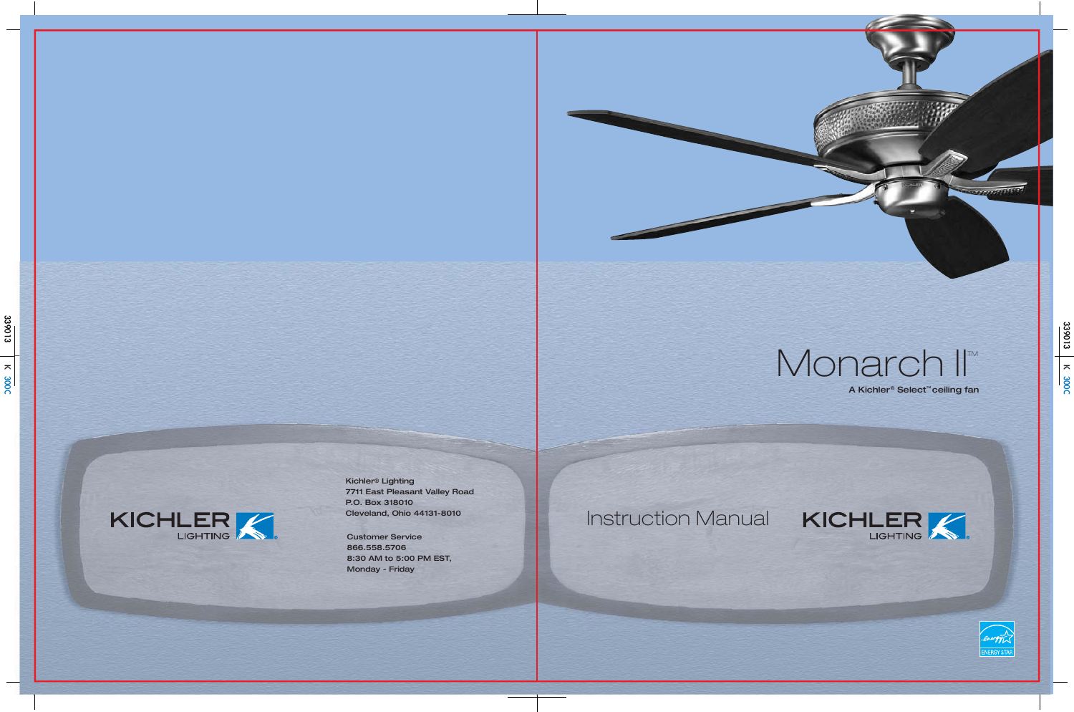

Kichler ® Lighting 7711 East Pleasant Valley Road P.O. Box 318010 Cleveland, Ohio 44131-8010

# Monarch II<sup>TM</sup> A Kichler ® Select ™ ceiling fan





Customer Service 866.558.5706 8:30 AM to 5:00 PM EST, Monday - Friday

# Instruction Manual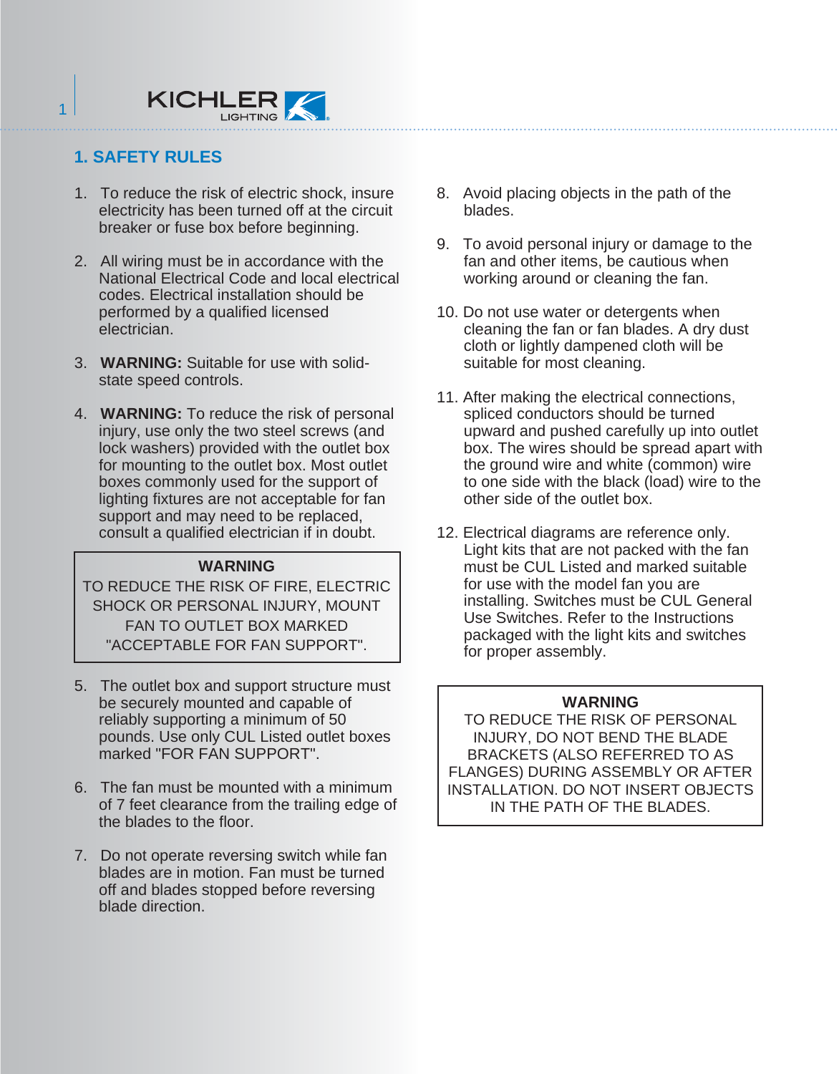#### **1. SAFETY RULES**

1

- 1. To reduce the risk of electric shock, insure electricity has been turned off at the circuit breaker or fuse box before beginning.
- 2. All wiring must be in accordance with the National Electrical Code and local electrical codes. Electrical installation should be performed by a qualified licensed electrician.
- 3. **WARNING:** Suitable for use with solidstate speed controls.
- 4. **WARNING:** To reduce the risk of personal injury, use only the two steel screws (and lock washers) provided with the outlet box for mounting to the outlet box. Most outlet boxes commonly used for the support of lighting fixtures are not acceptable for fan support and may need to be replaced, consult a qualified electrician if in doubt.

#### **WARNING**

TO REDUCE THE RISK OF FIRE, ELECTRIC SHOCK OR PERSONAL INJURY, MOUNT FAN TO OUTLET BOX MARKED "ACCEPTABLE FOR FAN SUPPORT".

- 5. The outlet box and support structure must be securely mounted and capable of reliably supporting a minimum of 50 pounds. Use only CUL Listed outlet boxes marked "FOR FAN SUPPORT".
- 6. The fan must be mounted with a minimum of 7 feet clearance from the trailing edge of the blades to the floor.
- 7. Do not operate reversing switch while fan blades are in motion. Fan must be turned off and blades stopped before reversing blade direction.
- 8. Avoid placing objects in the path of the blades.
- 9. To avoid personal injury or damage to the fan and other items, be cautious when working around or cleaning the fan.
- 10. Do not use water or detergents when cleaning the fan or fan blades. A dry dust cloth or lightly dampened cloth will be suitable for most cleaning.
- 11. After making the electrical connections, spliced conductors should be turned upward and pushed carefully up into outlet box. The wires should be spread apart with the ground wire and white (common) wire to one side with the black (load) wire to the other side of the outlet box.
- 12. Electrical diagrams are reference only. Light kits that are not packed with the fan must be CUL Listed and marked suitable for use with the model fan you are installing. Switches must be CUL General Use Switches. Refer to the Instructions packaged with the light kits and switches for proper assembly.

#### **WARNING**

TO REDUCE THE RISK OF PERSONAL INJURY, DO NOT BEND THE BLADE BRACKETS (ALSO REFERRED TO AS FLANGES) DURING ASSEMBLY OR AFTER INSTALLATION. DO NOT INSERT OBJECTS IN THE PATH OF THE BLADES.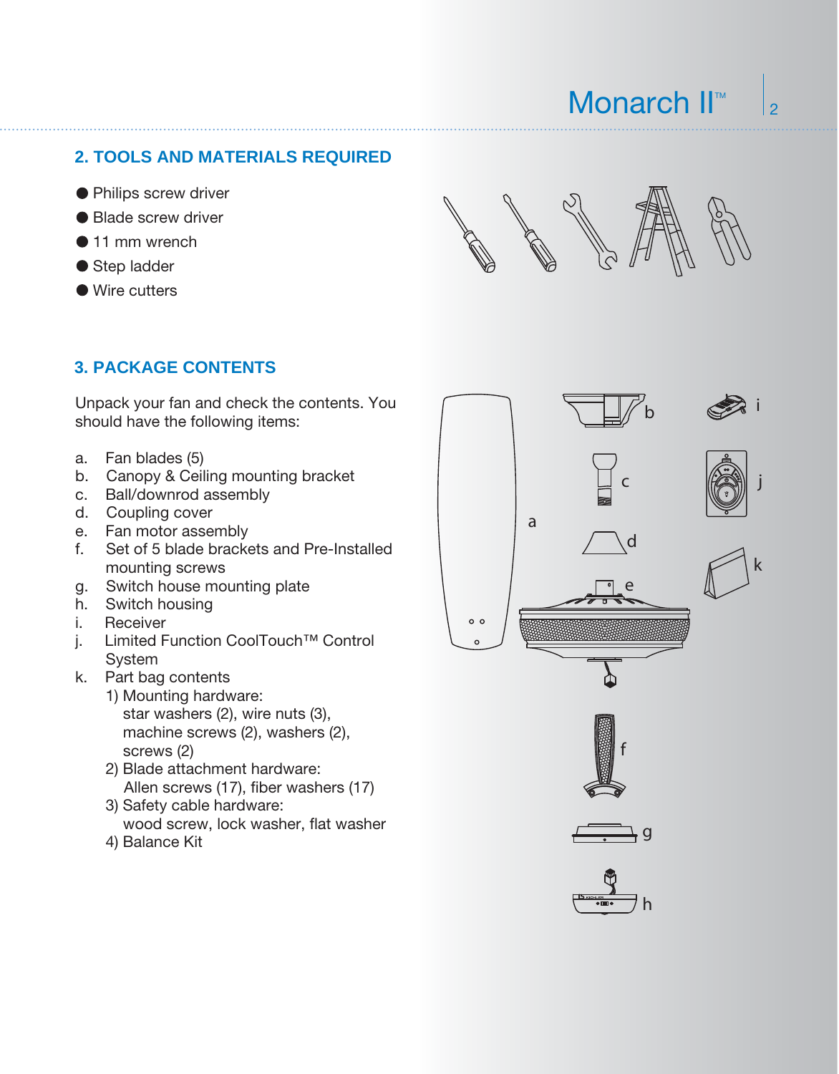**2. TOOLS AND MATERIALS REQUIRED**

- Philips screw driver
- Blade screw driver
- 11 mm wrench
- Step ladder
- Wire cutters

Monarch II<sup>™</sup>

#### **3. PACKAGE CONTENTS**

Unpack your fan and check the contents. You should have the following items:

- a. Fan blades (5)
- b. Canopy & Ceiling mounting bracket
- c. Ball/downrod assembly
- d. Coupling cover
- e. Fan motor assembly
- f. Set of 5 blade brackets and Pre-Installed mounting screws
- g. Switch house mounting plate
- h. Switch housing
- i. Receiver
- j. Limited Function CoolTouch™ Control System
- k. Part bag contents
	- 1) Mounting hardware: star washers (2), wire nuts (3), machine screws (2), washers (2), screws (2)
	- 2) Blade attachment hardware: Allen screws (17), fiber washers (17)
	- 3) Safety cable hardware: wood screw, lock washer, flat washer
	- 4) Balance Kit

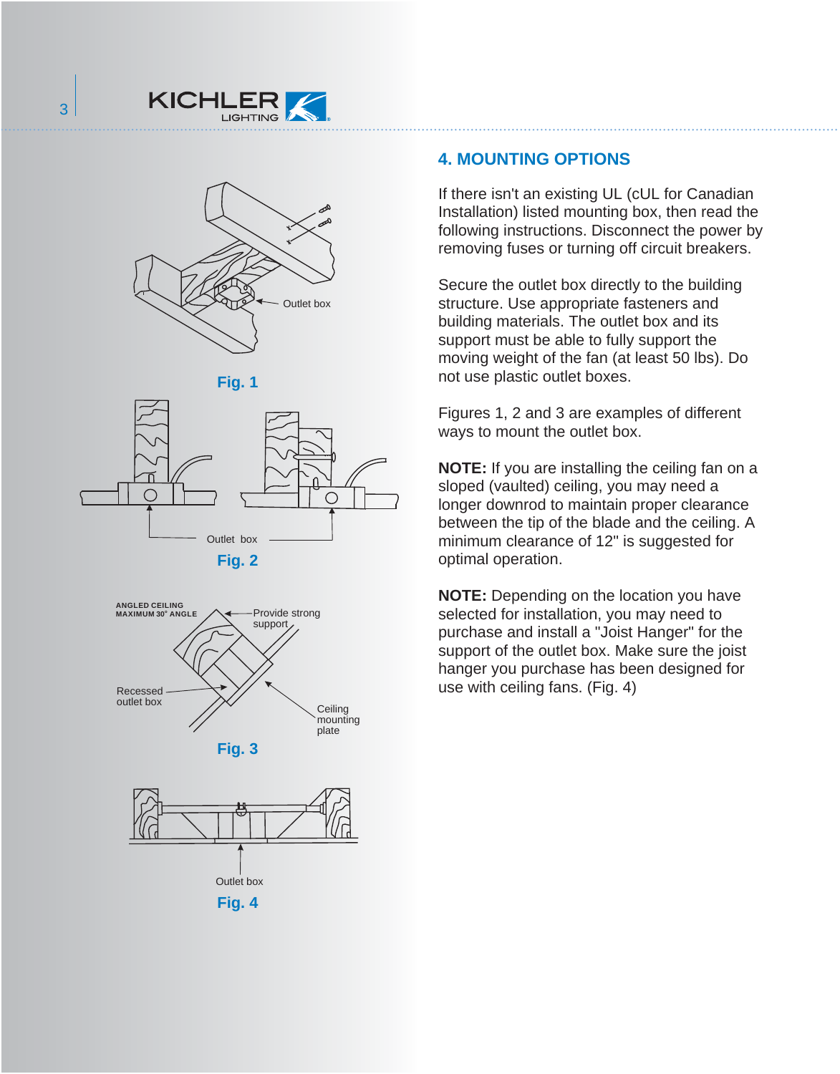



**Fig. 1**









#### **4. MOUNTING OPTIONS**

If there isn't an existing UL (cUL for Canadian Installation) listed mounting box, then read the following instructions. Disconnect the power by removing fuses or turning off circuit breakers.

Secure the outlet box directly to the building structure. Use appropriate fasteners and building materials. The outlet box and its support must be able to fully support the moving weight of the fan (at least 50 lbs). Do not use plastic outlet boxes.

Figures 1, 2 and 3 are examples of different ways to mount the outlet box.

**NOTE:** If you are installing the ceiling fan on a sloped (vaulted) ceiling, you may need a longer downrod to maintain proper clearance between the tip of the blade and the ceiling. A minimum clearance of 12" is suggested for optimal operation.

**NOTE:** Depending on the location you have selected for installation, you may need to purchase and install a "Joist Hanger" for the support of the outlet box. Make sure the joist hanger you purchase has been designed for use with ceiling fans. (Fig. 4)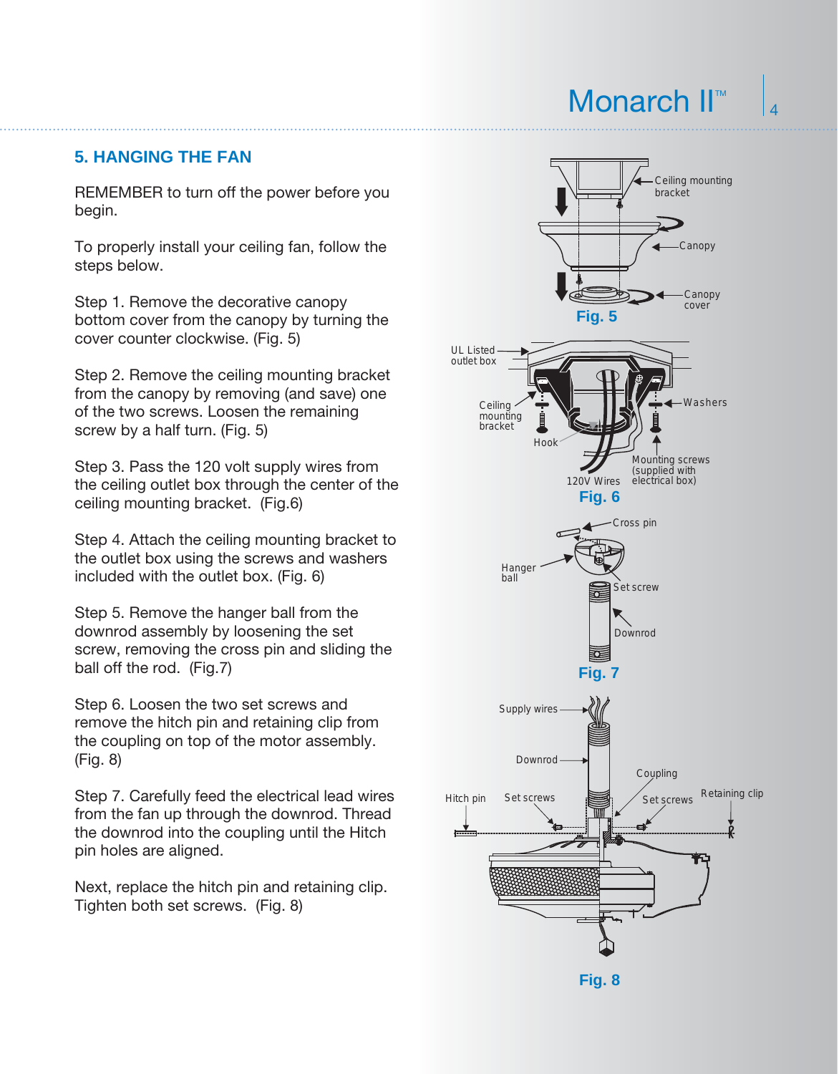$\overline{A}$ 

#### **5. HANGING THE FAN**

REMEMBER to turn off the power before you begin.

To properly install your ceiling fan, follow the steps below.

Step 1. Remove the decorative canopy bottom cover from the canopy by turning the cover counter clockwise. (Fig. 5)

Step 2. Remove the ceiling mounting bracket from the canopy by removing (and save) one of the two screws. Loosen the remaining screw by a half turn. (Fig. 5)

Step 3. Pass the 120 volt supply wires from the ceiling outlet box through the center of the ceiling mounting bracket. (Fig.6)

Step 4. Attach the ceiling mounting bracket to the outlet box using the screws and washers included with the outlet box. (Fig. 6)

Step 5. Remove the hanger ball from the downrod assembly by loosening the set screw, removing the cross pin and sliding the ball off the rod. (Fig.7)

Step 6. Loosen the two set screws and remove the hitch pin and retaining clip from the coupling on top of the motor assembly. (Fig. 8)

Step 7. Carefully feed the electrical lead wires from the fan up through the downrod. Thread the downrod into the coupling until the Hitch pin holes are aligned.

Next, replace the hitch pin and retaining clip. Tighten both set screws. (Fig. 8)



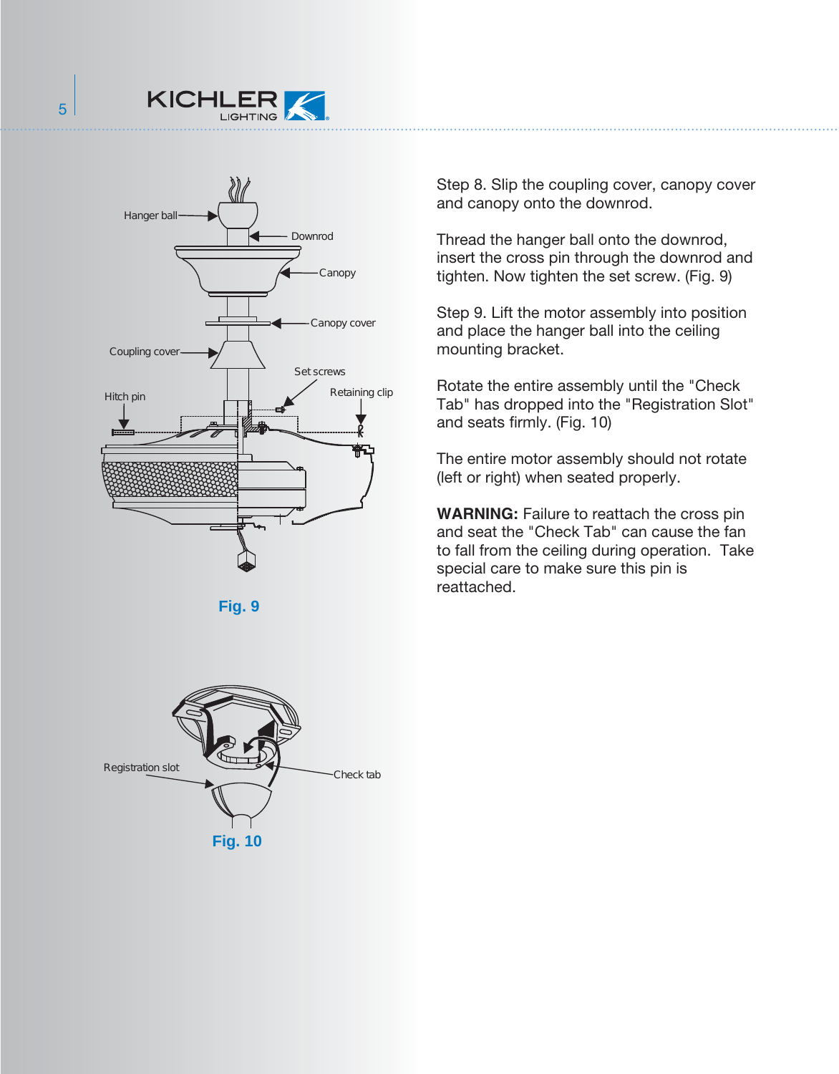



Step 8. Slip the coupling cover, canopy cover and canopy onto the downrod.

Thread the hanger ball onto the downrod, insert the cross pin through the downrod and tighten. Now tighten the set screw. (Fig. 9)

Step 9. Lift the motor assembly into position and place the hanger ball into the ceiling mounting bracket.

Rotate the entire assembly until the "Check Tab" has dropped into the "Registration Slot" and seats firmly. (Fig. 10)

The entire motor assembly should not rotate (left or right) when seated properly.

**WARNING:** Failure to reattach the cross pin and seat the "Check Tab" can cause the fan to fall from the ceiling during operation. Take special care to make sure this pin is reattached.

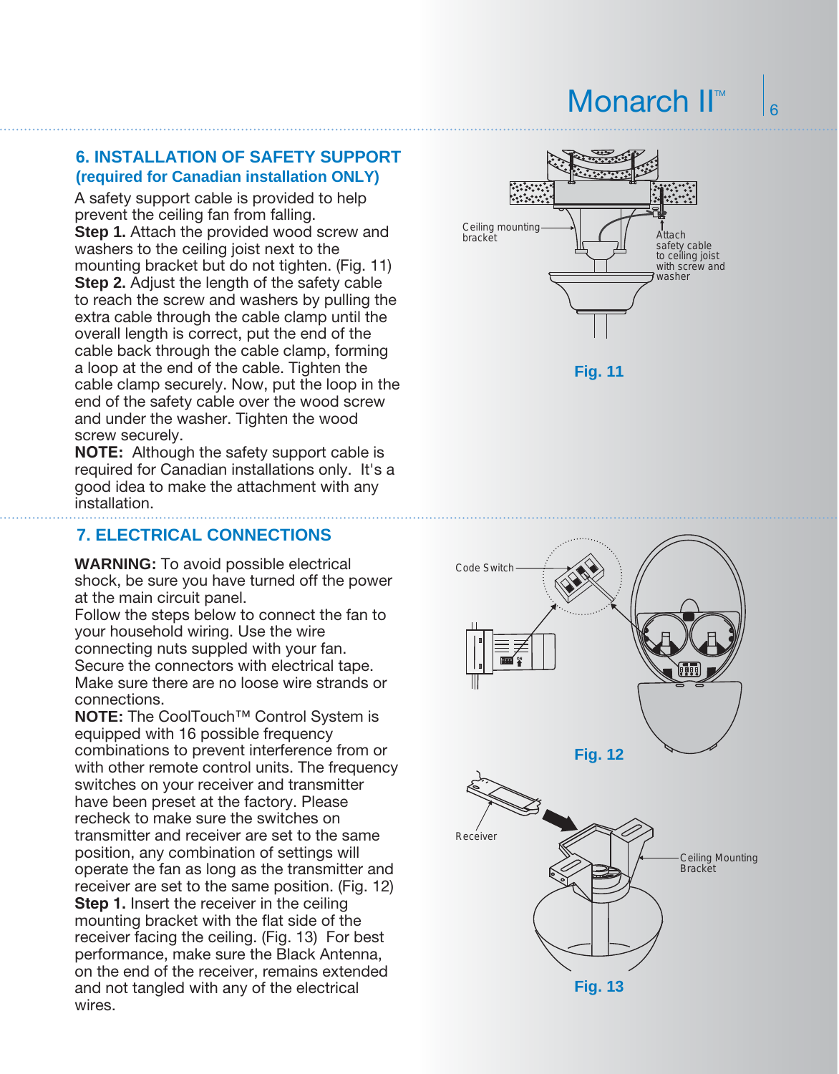6

#### **6. INSTALLATION OF SAFETY SUPPORT (required for Canadian installation ONLY)**

A safety support cable is provided to help prevent the ceiling fan from falling. **Step 1.** Attach the provided wood screw and washers to the ceiling joist next to the mounting bracket but do not tighten. (Fig. 11) **Step 2.** Adjust the length of the safety cable to reach the screw and washers by pulling the extra cable through the cable clamp until the overall length is correct, put the end of the cable back through the cable clamp, forming a loop at the end of the cable. Tighten the cable clamp securely. Now, put the loop in the end of the safety cable over the wood screw and under the washer. Tighten the wood screw securely.

**NOTE:** Although the safety support cable is required for Canadian installations only. It's a good idea to make the attachment with any installation.

#### **7. ELECTRICAL CONNECTIONS**

**WARNING:** To avoid possible electrical shock, be sure you have turned off the power at the main circuit panel.

Follow the steps below to connect the fan to your household wiring. Use the wire connecting nuts suppled with your fan. Secure the connectors with electrical tape. Make sure there are no loose wire strands or connections.

**NOTE:** The CoolTouch™ Control System is equipped with 16 possible frequency combinations to prevent interference from or with other remote control units. The frequency switches on your receiver and transmitter have been preset at the factory. Please recheck to make sure the switches on transmitter and receiver are set to the same position, any combination of settings will operate the fan as long as the transmitter and receiver are set to the same position. (Fig. 12) **Step 1.** Insert the receiver in the ceiling mounting bracket with the flat side of the receiver facing the ceiling. (Fig. 13) For best performance, make sure the Black Antenna, on the end of the receiver, remains extended and not tangled with any of the electrical wires.



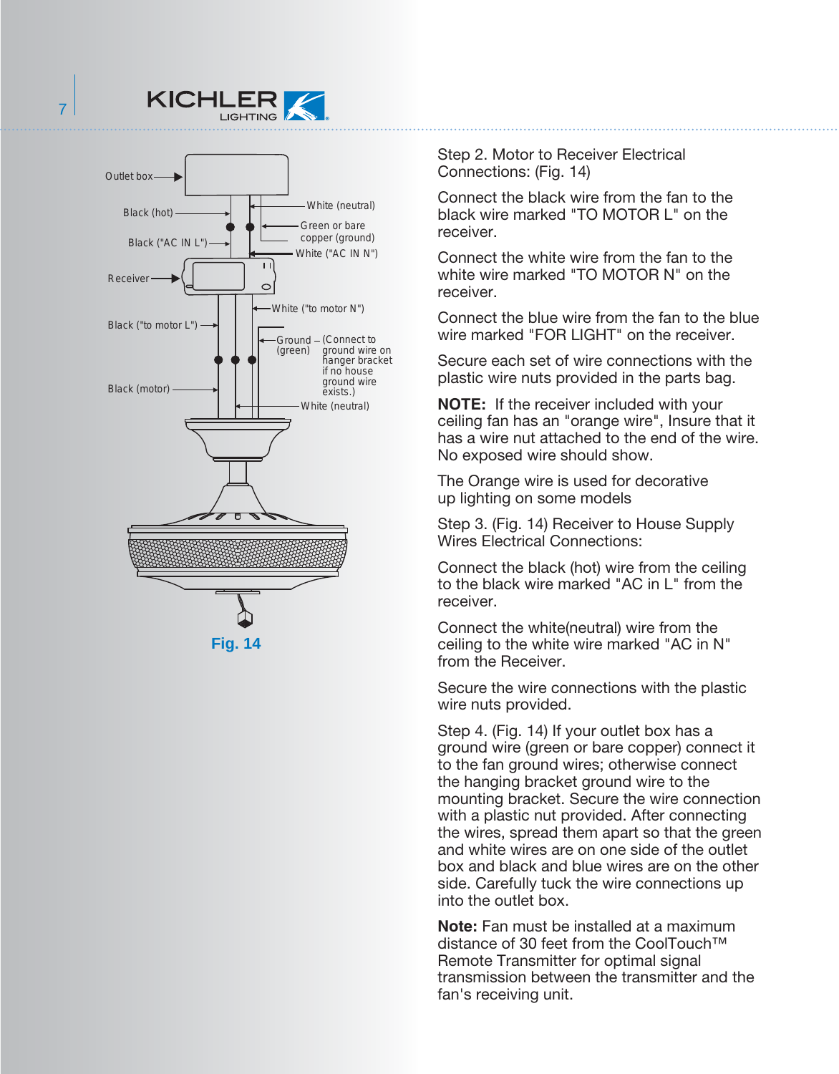



**Fig. 14**

Step 2. Motor to Receiver Electrical Connections: (Fig. 14)

Connect the black wire from the fan to the black wire marked "TO MOTOR L" on the receiver.

Connect the white wire from the fan to the white wire marked "TO MOTOR N" on the receiver.

Connect the blue wire from the fan to the blue wire marked "FOR LIGHT" on the receiver.

Secure each set of wire connections with the plastic wire nuts provided in the parts bag.

**NOTE:** If the receiver included with your ceiling fan has an "orange wire", Insure that it has a wire nut attached to the end of the wire. No exposed wire should show.

The Orange wire is used for decorative up lighting on some models

Step 3. (Fig. 14) Receiver to House Supply Wires Electrical Connections:

Connect the black (hot) wire from the ceiling to the black wire marked "AC in L" from the receiver.

Connect the white(neutral) wire from the ceiling to the white wire marked "AC in N" from the Receiver.

Secure the wire connections with the plastic wire nuts provided.

Step 4. (Fig. 14) If your outlet box has a ground wire (green or bare copper) connect it to the fan ground wires; otherwise connect the hanging bracket ground wire to the mounting bracket. Secure the wire connection with a plastic nut provided. After connecting the wires, spread them apart so that the green and white wires are on one side of the outlet box and black and blue wires are on the other side. Carefully tuck the wire connections up into the outlet box.

**Note:** Fan must be installed at a maximum distance of 30 feet from the CoolTouch™ Remote Transmitter for optimal signal transmission between the transmitter and the fan's receiving unit.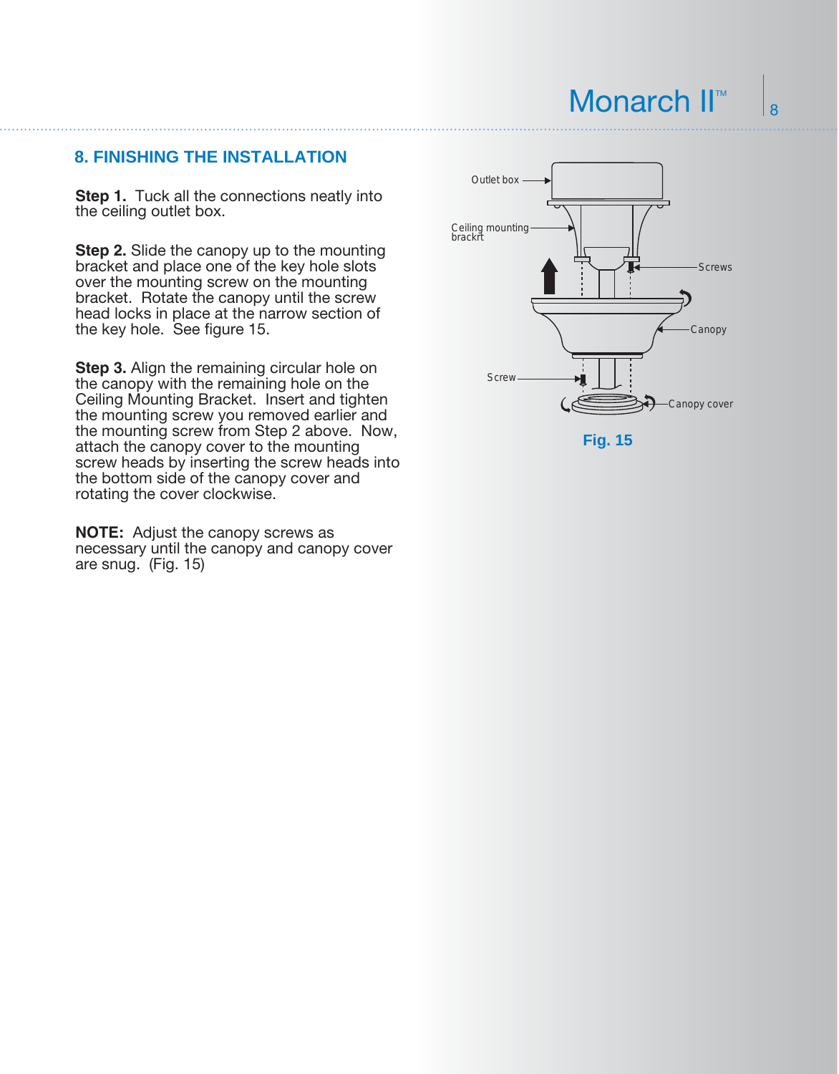#### **8. FINISHING THE INSTALLATION**

**Step 1.** Tuck all the connections neatly into the ceiling outlet box.

**Step 2.** Slide the canopy up to the mounting bracket and place one of the key hole slots over the mounting screw on the mounting bracket. Rotate the canopy until the screw head locks in place at the narrow section of the key hole. See figure 15.

**Step 3.** Align the remaining circular hole on the canopy with the remaining hole on the Ceiling Mounting Bracket. Insert and tighten the mounting screw you removed earlier and the mounting screw from Step 2 above. Now, attach the canopy cover to the mounting screw heads by inserting the screw heads into the bottom side of the canopy cover and rotating the cover clockwise.

**NOTE:** Adjust the canopy screws as necessary until the canopy and canopy cover are snug. (Fig. 15)

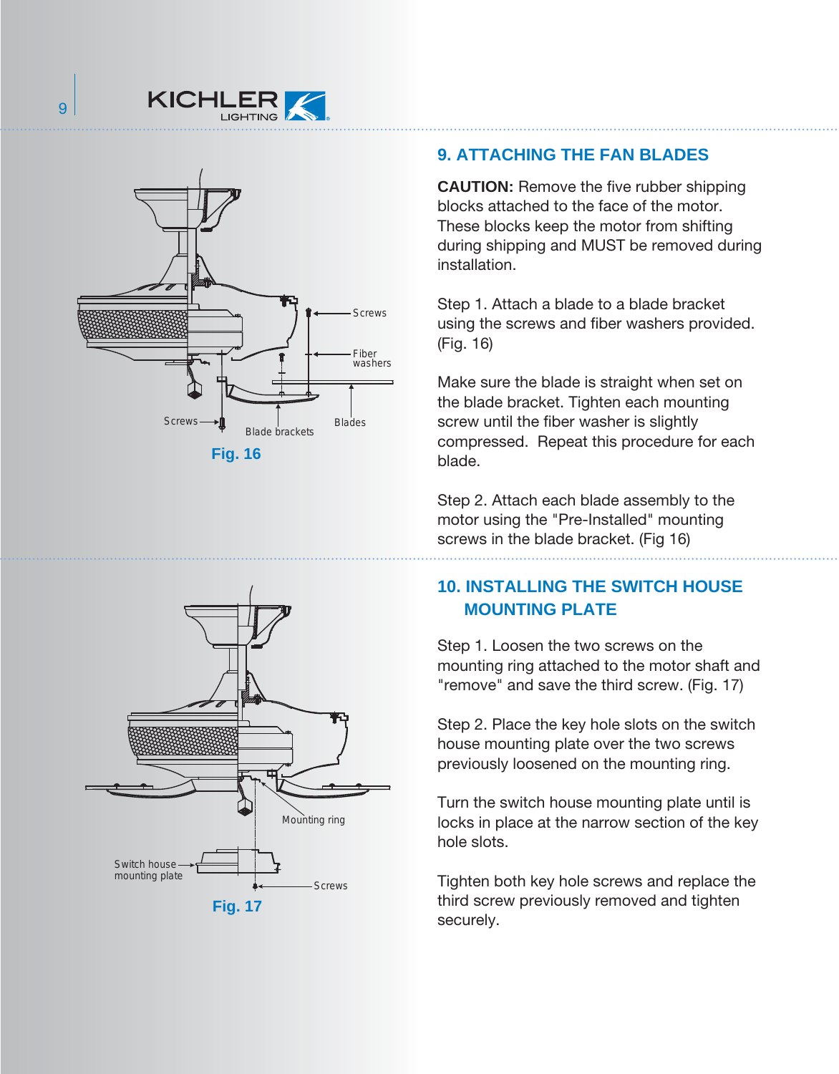



### **9. ATTACHING THE FAN BLADES**

**CAUTION:** Remove the five rubber shipping blocks attached to the face of the motor. These blocks keep the motor from shifting during shipping and MUST be removed during installation.

Step 1. Attach a blade to a blade bracket using the screws and fiber washers provided. (Fig. 16)

Make sure the blade is straight when set on the blade bracket. Tighten each mounting screw until the fiber washer is slightly compressed. Repeat this procedure for each blade.

Step 2. Attach each blade assembly to the motor using the "Pre-Installed" mounting screws in the blade bracket. (Fig 16)

#### **10. INSTALLING THE SWITCH HOUSE MOUNTING PLATE**

Step 1. Loosen the two screws on the mounting ring attached to the motor shaft and "remove" and save the third screw. (Fig. 17)

Step 2. Place the key hole slots on the switch house mounting plate over the two screws previously loosened on the mounting ring.

Turn the switch house mounting plate until is locks in place at the narrow section of the key hole slots.

Tighten both key hole screws and replace the third screw previously removed and tighten securely.

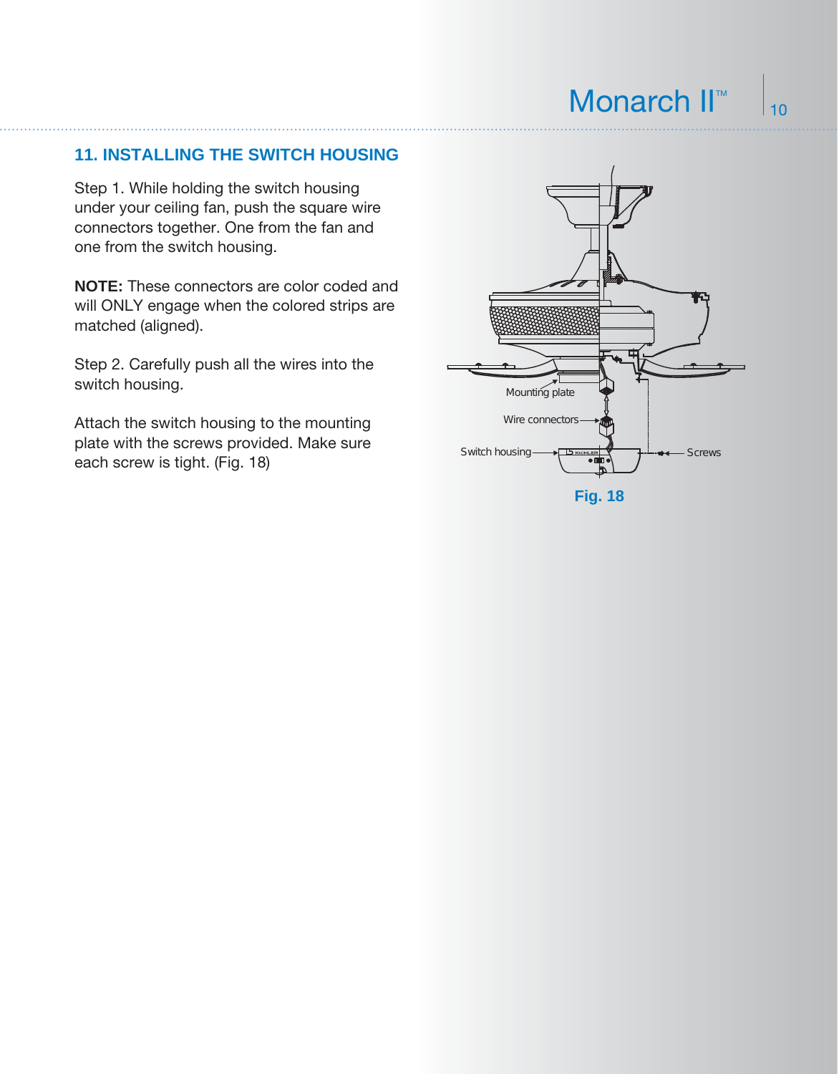#### **11. INSTALLING THE SWITCH HOUSING**

Step 1. While holding the switch housing under your ceiling fan, push the square wire connectors together. One from the fan and one from the switch housing.

**NOTE:** These connectors are color coded and will ONLY engage when the colored strips are matched (aligned).

Step 2. Carefully push all the wires into the switch housing.

Attach the switch housing to the mounting plate with the screws provided. Make sure each screw is tight. (Fig. 18)

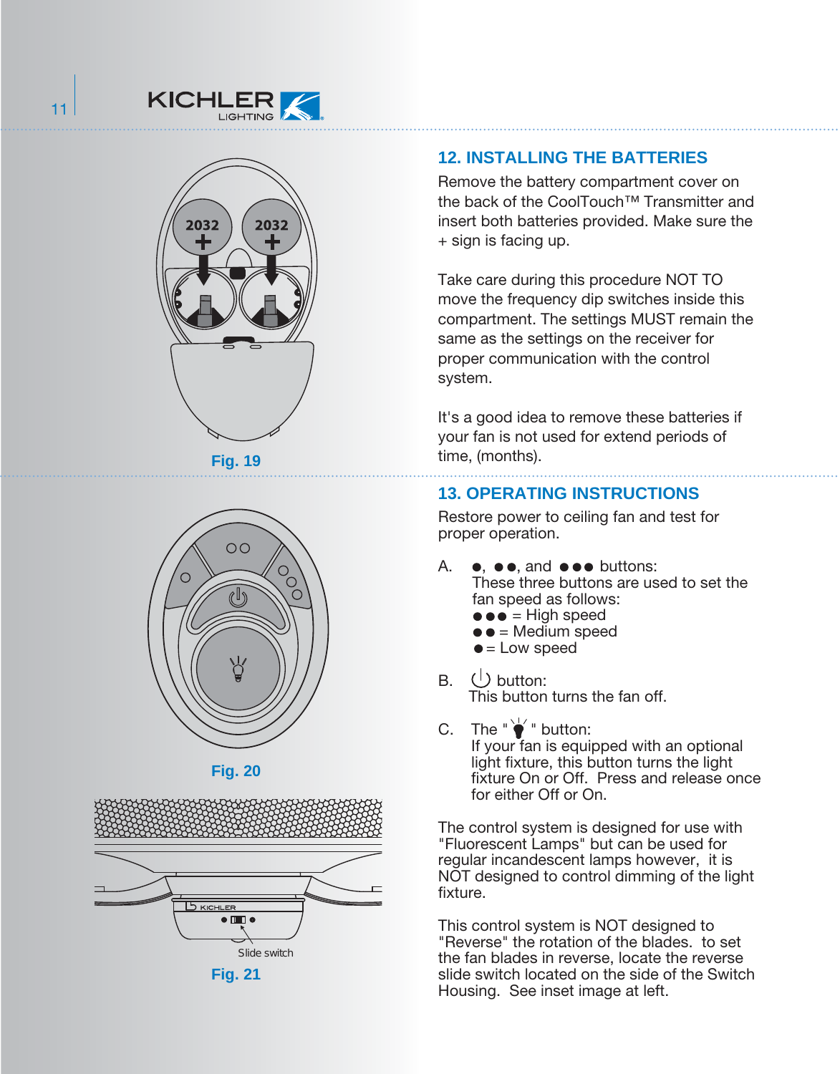











**12. INSTALLING THE BATTERIES**

Remove the battery compartment cover on the back of the CoolTouch™ Transmitter and insert both batteries provided. Make sure the + sign is facing up.

Take care during this procedure NOT TO move the frequency dip switches inside this compartment. The settings MUST remain the same as the settings on the receiver for proper communication with the control system.

It's a good idea to remove these batteries if your fan is not used for extend periods of time, (months).

#### **13. OPERATING INSTRUCTIONS**

Restore power to ceiling fan and test for proper operation.

- A.  $\bullet$ ,  $\bullet \bullet$ , and  $\bullet \bullet \bullet$  buttons: These three buttons are used to set the fan speed as follows:
	- $\bullet \bullet =$  High speed
	- $\bullet$  = Medium speed
	- $\bullet$  = Low speed
- B.  $\bigcup$  button: This button turns the fan off.
- C. The " $\bullet$ " button: If your fan is equipped with an optional light fixture, this button turns the light fixture On or Off. Press and release once for either Off or On.

The control system is designed for use with "Fluorescent Lamps" but can be used for regular incandescent lamps however, it is NOT designed to control dimming of the light fixture.

This control system is NOT designed to "Reverse" the rotation of the blades. to set the fan blades in reverse, locate the reverse slide switch located on the side of the Switch Housing. See inset image at left.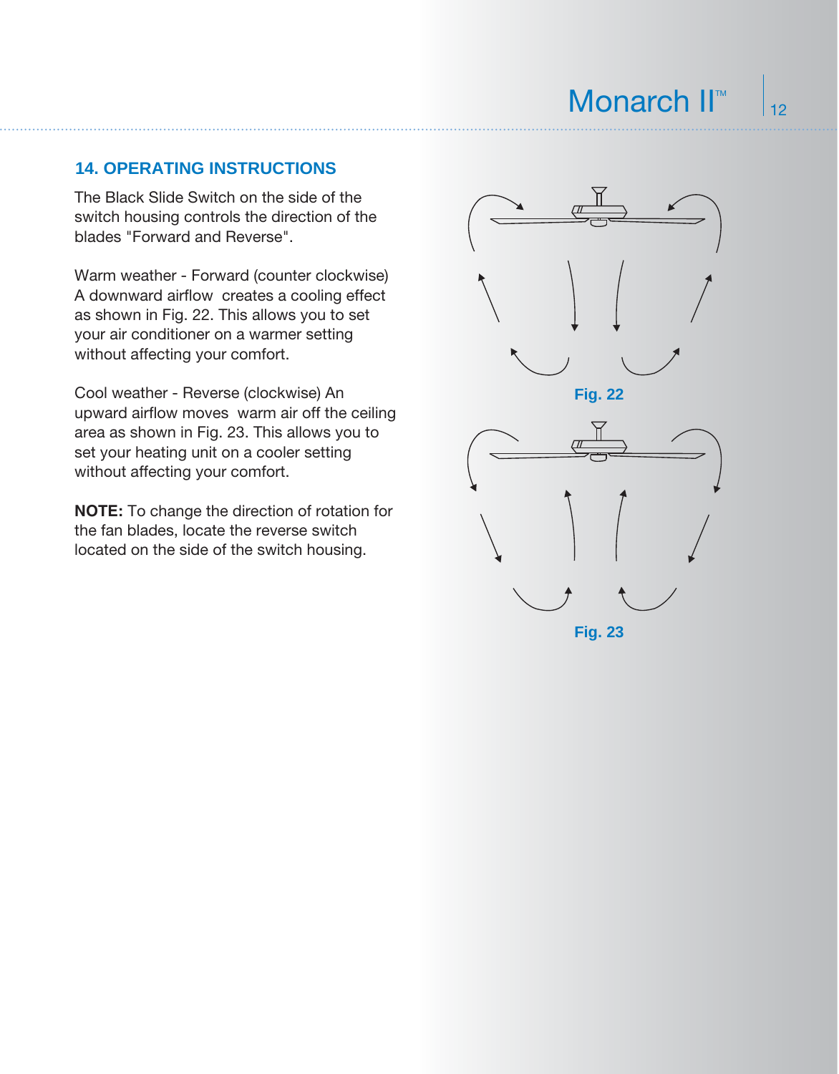#### **14. OPERATING INSTRUCTIONS**

The Black Slide Switch on the side of the switch housing controls the direction of the blades "Forward and Reverse".

Warm weather - Forward (counter clockwise) A downward airflow creates a cooling effect as shown in Fig. 22. This allows you to set your air conditioner on a warmer setting without affecting your comfort.

Cool weather - Reverse (clockwise) An upward airflow moves warm air off the ceiling area as shown in Fig. 23. This allows you to set your heating unit on a cooler setting without affecting your comfort.

**NOTE:** To change the direction of rotation for the fan blades, locate the reverse switch located on the side of the switch housing.

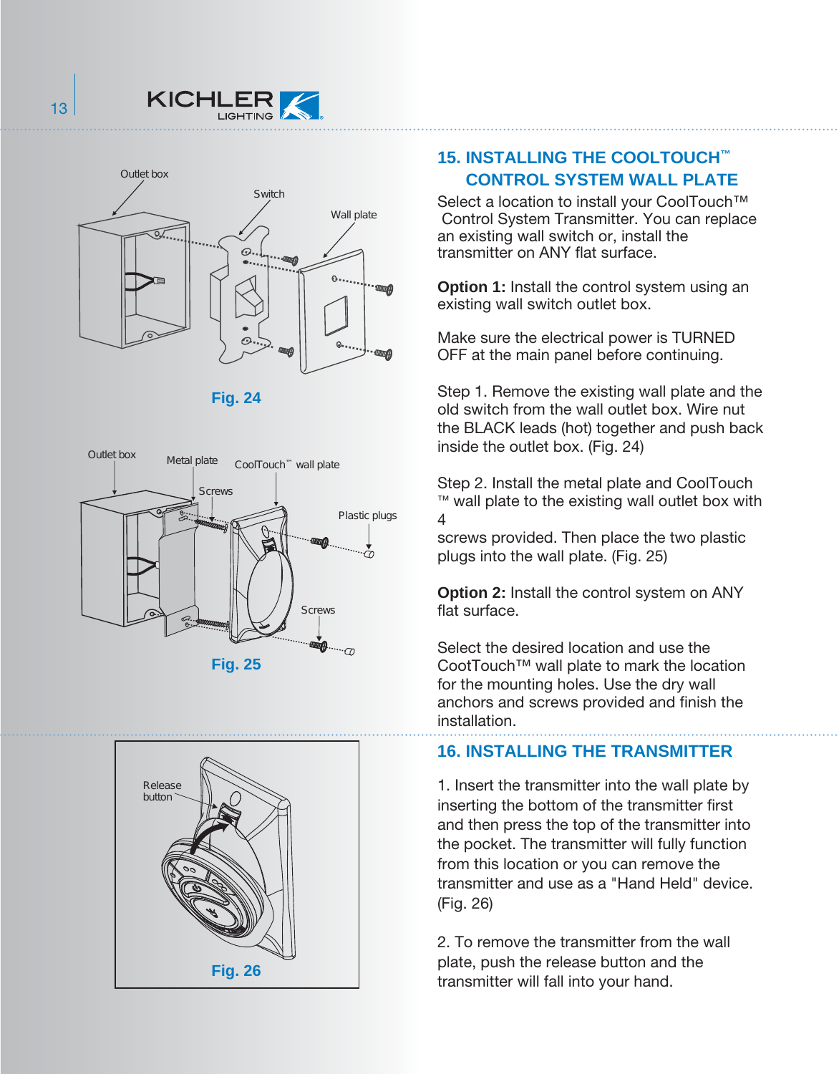



**Fig. 24**





#### **15. INSTALLING THE COOLTOUCH™ CONTROL SYSTEM WALL PLATE**

Select a location to install your CoolTouch<sup>™</sup> Control System Transmitter. You can replace an existing wall switch or, install the transmitter on ANY flat surface.

**Option 1:** Install the control system using an existing wall switch outlet box.

Make sure the electrical power is TURNED OFF at the main panel before continuing.

Step 1. Remove the existing wall plate and the old switch from the wall outlet box. Wire nut the BLACK leads (hot) together and push back inside the outlet box. (Fig. 24)

Step 2. Install the metal plate and CoolTouch ™ wall plate to the existing wall outlet box with 4

screws provided. Then place the two plastic plugs into the wall plate. (Fig. 25)

**Option 2:** Install the control system on ANY flat surface.

Select the desired location and use the CootTouch™ wall plate to mark the location for the mounting holes. Use the dry wall anchors and screws provided and finish the installation.

#### **16. INSTALLING THE TRANSMITTER**

1. Insert the transmitter into the wall plate by inserting the bottom of the transmitter first and then press the top of the transmitter into the pocket. The transmitter will fully function from this location or you can remove the transmitter and use as a "Hand Held" device. (Fig. 26)

2. To remove the transmitter from the wall plate, push the release button and the transmitter will fall into your hand.